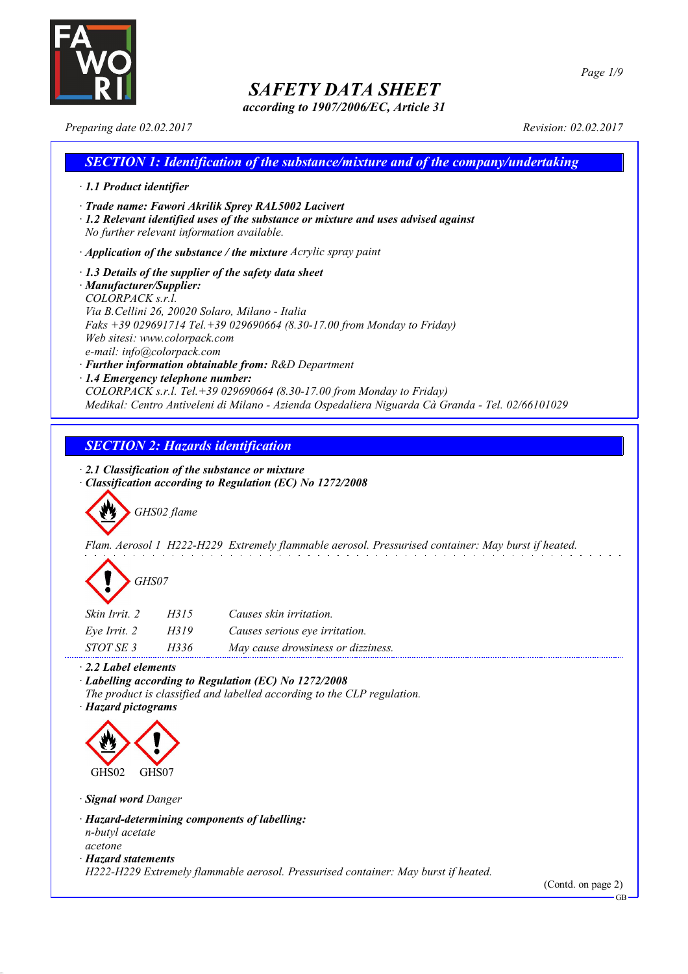

*according to 1907/2006/EC, Article 31*

*Preparing date 02.02.2017 Revision: 02.02.2017*

### *SECTION 1: Identification of the substance/mixture and of the company/undertaking · 1.1 Product identifier · Trade name: Fawori Akrilik Sprey RAL5002 Lacivert · 1.2 Relevant identified uses of the substance or mixture and uses advised against No further relevant information available. · Application of the substance / the mixture Acrylic spray paint · 1.3 Details of the supplier of the safety data sheet · Manufacturer/Supplier: COLORPACK s.r.l. Via B.Cellini 26, 20020 Solaro, Milano - Italia Faks +39 029691714 Tel.+39 029690664 (8.30-17.00 from Monday to Friday) Web sitesi: www.colorpack.com e-mail: info@colorpack.com · Further information obtainable from: R&D Department · 1.4 Emergency telephone number:*

*COLORPACK s.r.l. Tel.+39 029690664 (8.30-17.00 from Monday to Friday) Medikal: Centro Antiveleni di Milano - Azienda Ospedaliera Niguarda Cà Granda - Tel. 02/66101029*

### *SECTION 2: Hazards identification*

*· 2.1 Classification of the substance or mixture*

*· Classification according to Regulation (EC) No 1272/2008*

*GHS02 flame*

*Flam. Aerosol 1 H222-H229 Extremely flammable aerosol. Pressurised container: May burst if heated.*

| GHS07 |
|-------|
|-------|

| Skin Irrit. 2 | H315 | Causes skin irritation.           |
|---------------|------|-----------------------------------|
| Eve Irrit. 2  | H319 | Causes serious eye irritation.    |
| STOT SE 3     | H336 | May cause drowsiness or dizziness |

*· 2.2 Label elements*

*· Labelling according to Regulation (EC) No 1272/2008*

*The product is classified and labelled according to the CLP regulation.*

*· Hazard pictograms*



*· Signal word Danger*

- *· Hazard-determining components of labelling: n-butyl acetate acetone*
- *· Hazard statements*

*H222-H229 Extremely flammable aerosol. Pressurised container: May burst if heated.*

(Contd. on page 2)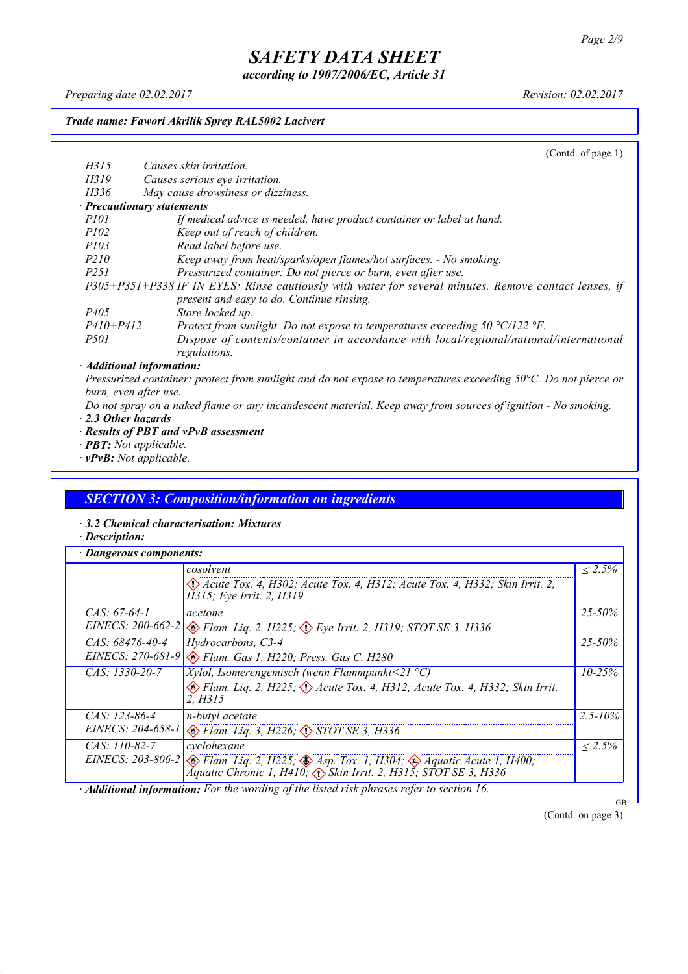*according to 1907/2006/EC, Article 31*

*Preparing date 02.02.2017 Revision: 02.02.2017*

#### *Trade name: Fawori Akrilik Sprey RAL5002 Lacivert*

(Contd. of page 1) *H315 Causes skin irritation. H319 Causes serious eye irritation. H336 May cause drowsiness or dizziness. · Precautionary statements P101 If medical advice is needed, have product container or label at hand. P102 Keep out of reach of children. P103 Read label before use. P210 Keep away from heat/sparks/open flames/hot surfaces. - No smoking. P251 Pressurized container: Do not pierce or burn, even after use. P305+P351+P338 IF IN EYES: Rinse cautiously with water for several minutes. Remove contact lenses, if present and easy to do. Continue rinsing. P405 Store locked up. P410+P412 Protect from sunlight. Do not expose to temperatures exceeding 50 °C/122 °F. P501 Dispose of contents/container in accordance with local/regional/national/international regulations. · Additional information:*

Pressurized container: protect from sunlight and do not expose to temperatures exceeding 50°C. Do not pierce or *burn, even after use.*

- Do not spray on a naked flame or any incandescent material. Keep away from sources of ignition No smoking. *· 2.3 Other hazards*
- *· Results of PBT and vPvB assessment*
- *· PBT: Not applicable.*
- *· vPvB: Not applicable.*

### *SECTION 3: Composition/information on ingredients*

*· 3.2 Chemical characterisation: Mixtures*

*· Description:*

| · Dangerous components: |                                                                                                                                                                                                       |              |
|-------------------------|-------------------------------------------------------------------------------------------------------------------------------------------------------------------------------------------------------|--------------|
|                         | cosolvent                                                                                                                                                                                             | $\leq 2.5\%$ |
|                         | $\langle$ Acute Tox. 4, H302; Acute Tox. 4, H312; Acute Tox. 4, H332; Skin Irrit. 2,<br>H315; Eye Irrit. 2, H319                                                                                      |              |
| CAS: $67-64-1$          | acetone                                                                                                                                                                                               | $25 - 50\%$  |
|                         | EINECS: 200-662-2 & Flam. Liq. 2, H225; $\Diamond$ Eye Irrit. 2, H319; STOT SE 3, H336                                                                                                                |              |
| $CAS: 68476 - 40 - 4$   | Hydrocarbons, C3-4                                                                                                                                                                                    | $25 - 50\%$  |
|                         | EINECS: 270-681-9 & Flam. Gas 1, H220; Press. Gas C, H280                                                                                                                                             |              |
| $CAS: 1330-20-7$        | Xylol, Isomerengemisch (wenn Flammpunkt<21 $^{\circ}$ C)                                                                                                                                              | $10 - 25\%$  |
|                         | $\otimes$ Flam. Lig. 2, H225; $\otimes$ Acute Tox. 4, H312; Acute Tox. 4, H332; Skin Irrit.<br>2. H315                                                                                                |              |
| $CAS: 123-86-4$         | n-butyl acetate                                                                                                                                                                                       | $2.5 - 10\%$ |
|                         | EINECS: 204-658-1 & Flam. Liq. 3, H226; STOT SE 3, H336                                                                                                                                               |              |
| $CAS: 110-82-7$         | cyclohexane                                                                                                                                                                                           | $\leq 2.5\%$ |
|                         | EINECS: 203-806-2 $\otimes$ Flam. Liq. 2, H225; $\otimes$ Asp. Tox. 1, H304; $\otimes$ Aquatic Acute 1, H400;<br>$\triangle$ quatic Chronic 1, H410; $\triangle$ Skin Irrit. 2, H315; STOT SE 3, H336 |              |
|                         | Additional information: For the wording of the listed risk phrases refer to section 16.                                                                                                               |              |

(Contd. on page 3)

GB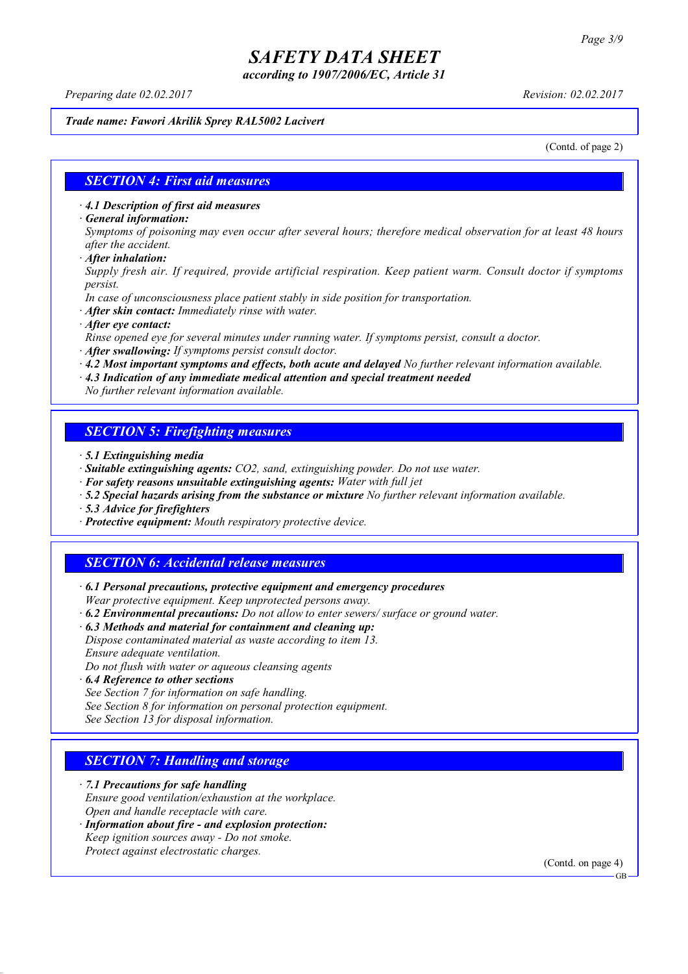*according to 1907/2006/EC, Article 31*

*Preparing date 02.02.2017 Revision: 02.02.2017*

#### *Trade name: Fawori Akrilik Sprey RAL5002 Lacivert*

(Contd. of page 2)

#### *SECTION 4: First aid measures*

*· 4.1 Description of first aid measures*

*· General information:*

Symptoms of poisoning may even occur after several hours; therefore medical observation for at least 48 hours *after the accident.*

*· After inhalation:*

*Supply fresh air. If required, provide artificial respiration. Keep patient warm. Consult doctor if symptoms persist.*

*In case of unconsciousness place patient stably in side position for transportation.*

- *· After skin contact: Immediately rinse with water.*
- *· After eye contact:*

*Rinse opened eye for several minutes under running water. If symptoms persist, consult a doctor.*

*· After swallowing: If symptoms persist consult doctor.*

*· 4.2 Most important symptoms and effects, both acute and delayed No further relevant information available.*

*· 4.3 Indication of any immediate medical attention and special treatment needed*

*No further relevant information available.*

### *SECTION 5: Firefighting measures*

- *· 5.1 Extinguishing media*
- *· Suitable extinguishing agents: CO2, sand, extinguishing powder. Do not use water.*
- *· For safety reasons unsuitable extinguishing agents: Water with full jet*
- *· 5.2 Special hazards arising from the substance or mixture No further relevant information available.*
- *· 5.3 Advice for firefighters*
- *· Protective equipment: Mouth respiratory protective device.*

### *SECTION 6: Accidental release measures*

*· 6.1 Personal precautions, protective equipment and emergency procedures Wear protective equipment. Keep unprotected persons away.*

*· 6.2 Environmental precautions: Do not allow to enter sewers/ surface or ground water.*

*· 6.3 Methods and material for containment and cleaning up:*

*Dispose contaminated material as waste according to item 13. Ensure adequate ventilation.*

*Do not flush with water or aqueous cleansing agents*

- *· 6.4 Reference to other sections*
- *See Section 7 for information on safe handling.*

*See Section 8 for information on personal protection equipment.*

*See Section 13 for disposal information.*

### *SECTION 7: Handling and storage*

*· 7.1 Precautions for safe handling*

*Ensure good ventilation/exhaustion at the workplace.*

*Open and handle receptacle with care.*

*· Information about fire - and explosion protection: Keep ignition sources away - Do not smoke.*

*Protect against electrostatic charges.*

(Contd. on page 4)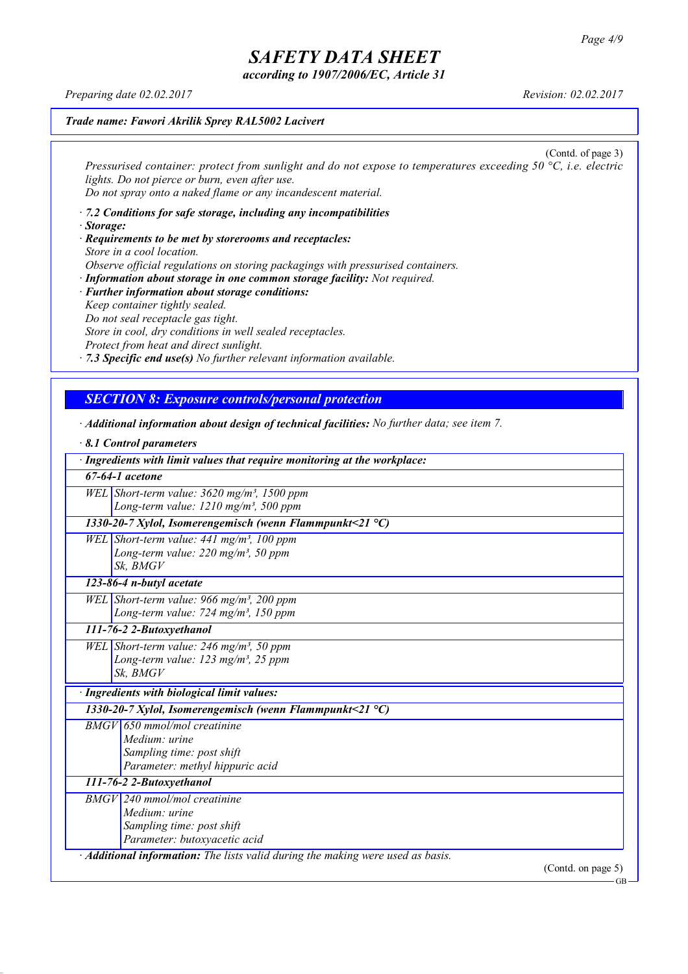GB

# *SAFETY DATA SHEET*

*according to 1907/2006/EC, Article 31*

*Preparing date 02.02.2017 Revision: 02.02.2017*

#### *Trade name: Fawori Akrilik Sprey RAL5002 Lacivert*

(Contd. of page 3) *Pressurised container: protect from sunlight and do not expose to temperatures exceeding 50 °C, i.e. electric lights. Do not pierce or burn, even after use. Do not spray onto a naked flame or any incandescent material.*

- *· 7.2 Conditions for safe storage, including any incompatibilities · Storage:*
- *· Requirements to be met by storerooms and receptacles: Store in a cool location. Observe official regulations on storing packagings with pressurised containers.*
- *· Information about storage in one common storage facility: Not required. · Further information about storage conditions: Keep container tightly sealed. Do not seal receptacle gas tight. Store in cool, dry conditions in well sealed receptacles. Protect from heat and direct sunlight.*

*· 7.3 Specific end use(s) No further relevant information available.*

### *SECTION 8: Exposure controls/personal protection*

*· Additional information about design of technical facilities: No further data; see item 7.*

| 8.1 Control parameters                                                          |
|---------------------------------------------------------------------------------|
| · Ingredients with limit values that require monitoring at the workplace:       |
| $67-64-1$ acetone                                                               |
| WEL Short-term value: $3620$ mg/m <sup>3</sup> , 1500 ppm                       |
| Long-term value: 1210 mg/m <sup>3</sup> , 500 ppm                               |
| 1330-20-7 Xylol, Isomerengemisch (wenn Flammpunkt<21 $^{\circ}$ C)              |
| WEL Short-term value: $441$ mg/m <sup>3</sup> , 100 ppm                         |
| Long-term value: $220$ mg/m <sup>3</sup> , 50 ppm                               |
| Sk. BMGV                                                                        |
| 123-86-4 n-butyl acetate                                                        |
| WEL Short-term value: 966 mg/m <sup>3</sup> , 200 ppm                           |
| Long-term value: 724 mg/m <sup>3</sup> , 150 ppm                                |
| 111-76-2 2-Butoxyethanol                                                        |
| WEL Short-term value: 246 mg/m <sup>3</sup> , 50 ppm                            |
| Long-term value: 123 mg/m <sup>3</sup> , 25 ppm                                 |
| Sk, BMGV                                                                        |
| · Ingredients with biological limit values:                                     |
| 1330-20-7 Xylol, Isomerengemisch (wenn Flammpunkt<21 °C)                        |
| $BMGV$ 650 mmol/mol creatinine                                                  |
| Medium: urine                                                                   |
| Sampling time: post shift                                                       |
| Parameter: methyl hippuric acid                                                 |
| 111-76-2 2-Butoxyethanol                                                        |
| <b>BMGV</b> 240 mmol/mol creatinine                                             |
| Medium: urine                                                                   |
| Sampling time: post shift                                                       |
| Parameter: butoxyacetic acid                                                    |
| · Additional information: The lists valid during the making were used as basis. |
| (Contd. on page 5)                                                              |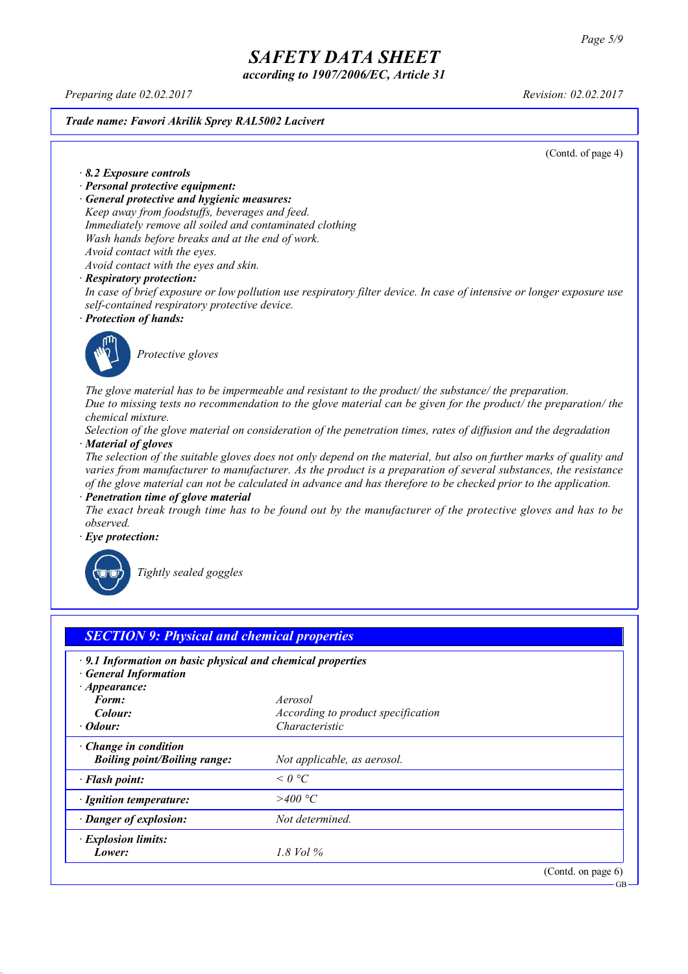*according to 1907/2006/EC, Article 31*

*Preparing date 02.02.2017 Revision: 02.02.2017*

*Trade name: Fawori Akrilik Sprey RAL5002 Lacivert*

(Contd. of page 4)

*· 8.2 Exposure controls*

- *· Personal protective equipment:*
- *· General protective and hygienic measures:*

*Keep away from foodstuffs, beverages and feed. Immediately remove all soiled and contaminated clothing Wash hands before breaks and at the end of work. Avoid contact with the eyes.*

*Avoid contact with the eyes and skin.*

#### *· Respiratory protection:*

In case of brief exposure or low pollution use respiratory filter device. In case of intensive or longer exposure use *self-contained respiratory protective device.*

*· Protection of hands:*



*Protective gloves*

*The glove material has to be impermeable and resistant to the product/ the substance/ the preparation.* Due to missing tests no recommendation to the glove material can be given for the product/ the preparation/ the *chemical mixture.*

Selection of the glove material on consideration of the penetration times, rates of diffusion and the degradation *· Material of gloves*

The selection of the suitable gloves does not only depend on the material, but also on further marks of quality and *varies from manufacturer to manufacturer. As the product is a preparation of several substances, the resistance* of the glove material can not be calculated in advance and has therefore to be checked prior to the application.

*· Penetration time of glove material*

The exact break trough time has to be found out by the manufacturer of the protective gloves and has to be *observed.*

*· Eye protection:*



*Tightly sealed goggles*

| $\cdot$ 9.1 Information on basic physical and chemical properties<br><b>General Information</b> |                                           |  |
|-------------------------------------------------------------------------------------------------|-------------------------------------------|--|
| $\cdot$ Appearance:                                                                             |                                           |  |
| Form:                                                                                           | Aerosol                                   |  |
| Colour:                                                                                         | <i>According to product specification</i> |  |
| $\cdot$ Odour:                                                                                  | Characteristic                            |  |
| Change in condition<br><b>Boiling point/Boiling range:</b>                                      | Not applicable, as aerosol.               |  |
| · Flash point:                                                                                  | $\leq$ 0 °C                               |  |
| · Ignition temperature:                                                                         | >400 °C                                   |  |
| · Danger of explosion:                                                                          | Not determined.                           |  |
| · Explosion limits:                                                                             |                                           |  |
| Lower:                                                                                          | 1.8 Vol $\%$                              |  |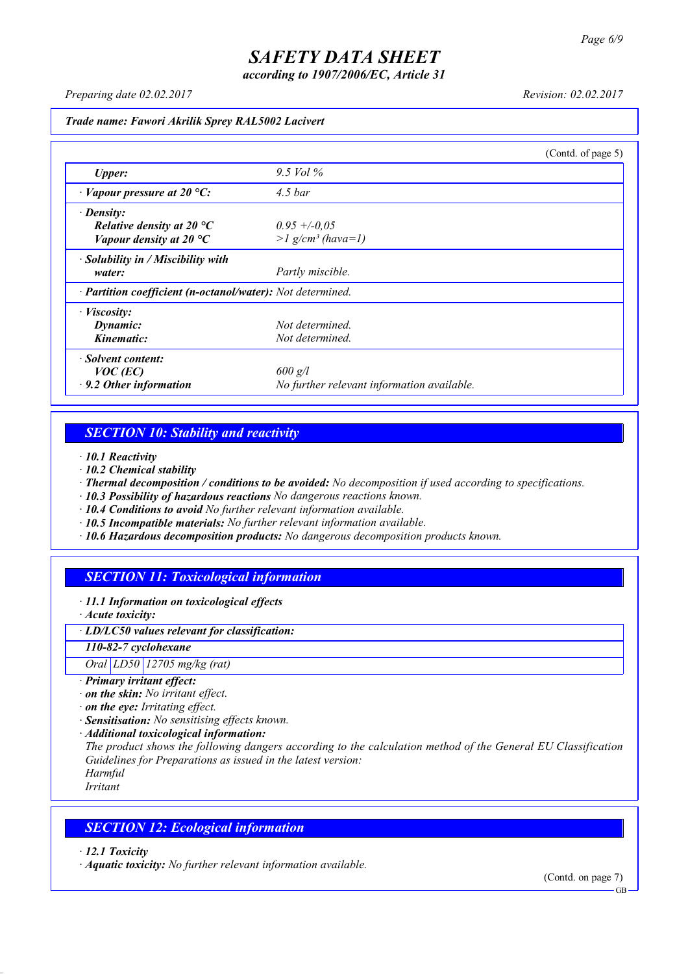*according to 1907/2006/EC, Article 31*

*Preparing date 02.02.2017 Revision: 02.02.2017*

*Trade name: Fawori Akrilik Sprey RAL5002 Lacivert*

|                                                            |                                            | (Contd. of page 5) |
|------------------------------------------------------------|--------------------------------------------|--------------------|
| <b>Upper:</b>                                              | 9.5 Vol $\%$                               |                    |
| $\cdot$ Vapour pressure at 20 °C:                          | 4.5 <sub>bar</sub>                         |                    |
| $\cdot$ Density:                                           |                                            |                    |
| Relative density at 20 $^{\circ}C$                         | $0.95 + -0.05$                             |                    |
| Vapour density at 20 $^{\circ}C$                           | $>l$ g/cm <sup>3</sup> (hava=1)            |                    |
| $\cdot$ Solubility in / Miscibility with                   |                                            |                    |
| water:                                                     | Partly miscible.                           |                    |
| · Partition coefficient (n-octanol/water): Not determined. |                                            |                    |
| $\cdot$ <i>Viscosity:</i>                                  |                                            |                    |
| Dynamic:                                                   | Not determined.                            |                    |
| Kinematic:                                                 | Not determined.                            |                    |
| Solvent content:                                           |                                            |                    |
| $VOC$ (EC)                                                 | $600$ g/l                                  |                    |
| $\cdot$ 9.2 Other information                              | No further relevant information available. |                    |

### *SECTION 10: Stability and reactivity*

*· 10.1 Reactivity*

- *· 10.2 Chemical stability*
- *· Thermal decomposition / conditions to be avoided: No decomposition if used according to specifications.*
- *· 10.3 Possibility of hazardous reactions No dangerous reactions known.*
- *· 10.4 Conditions to avoid No further relevant information available.*
- *· 10.5 Incompatible materials: No further relevant information available.*
- *· 10.6 Hazardous decomposition products: No dangerous decomposition products known.*

### *SECTION 11: Toxicological information*

*· 11.1 Information on toxicological effects*

*· Acute toxicity:*

*· LD/LC50 values relevant for classification:*

*110-82-7 cyclohexane*

*Oral LD50 12705 mg/kg (rat)*

- *· Primary irritant effect:*
- *· on the skin: No irritant effect.*
- *· on the eye: Irritating effect.*
- *· Sensitisation: No sensitising effects known.*
- *· Additional toxicological information:*

*The product shows the following dangers according to the calculation method of the General EU Classification Guidelines for Preparations as issued in the latest version:*

*Harmful Irritant*

### *SECTION 12: Ecological information*

*· 12.1 Toxicity*

*· Aquatic toxicity: No further relevant information available.*

(Contd. on page 7)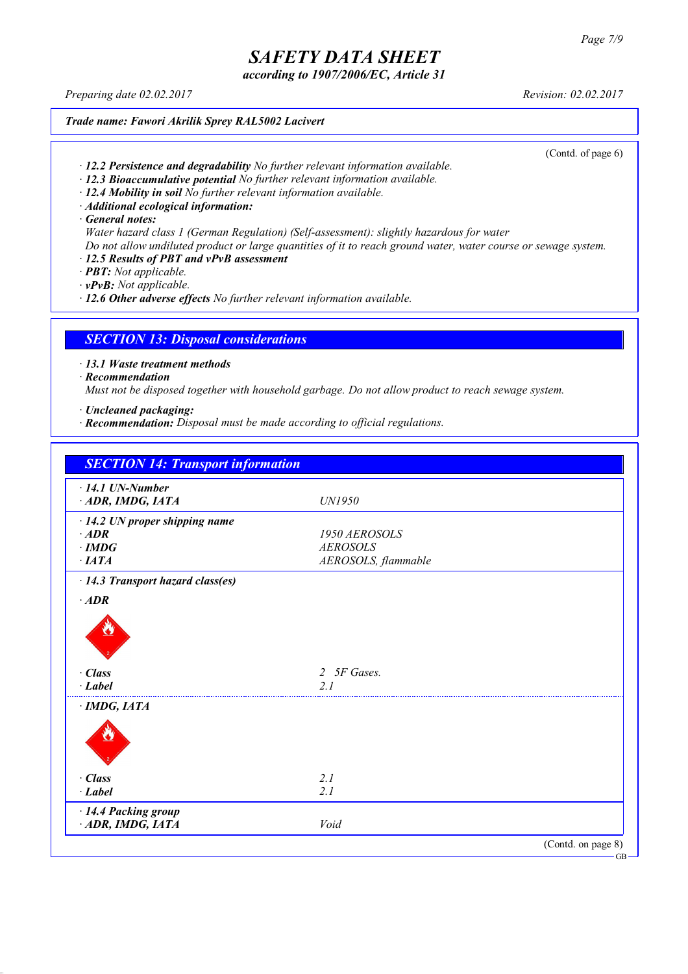*according to 1907/2006/EC, Article 31*

*Preparing date 02.02.2017 Revision: 02.02.2017*

*Trade name: Fawori Akrilik Sprey RAL5002 Lacivert*

(Contd. of page 6)

- *· 12.2 Persistence and degradability No further relevant information available.*
- *· 12.3 Bioaccumulative potential No further relevant information available.*
- *· 12.4 Mobility in soil No further relevant information available.*
- *· Additional ecological information:*

*· General notes:*

- *Water hazard class 1 (German Regulation) (Self-assessment): slightly hazardous for water*
- Do not allow undiluted product or large quantities of it to reach ground water, water course or sewage system.
- *· 12.5 Results of PBT and vPvB assessment*
- *· PBT: Not applicable.*
- *· vPvB: Not applicable.*

*· 12.6 Other adverse effects No further relevant information available.*

### *SECTION 13: Disposal considerations*

*· 13.1 Waste treatment methods*

*· Recommendation*

*Must not be disposed together with household garbage. Do not allow product to reach sewage system.*

- *· Uncleaned packaging:*
- *· Recommendation: Disposal must be made according to official regulations.*

| $\cdot$ 14.1 UN-Number               |                     |  |
|--------------------------------------|---------------------|--|
| ADR, IMDG, IATA                      | <b>UN1950</b>       |  |
| $\cdot$ 14.2 UN proper shipping name |                     |  |
| $\cdot$ ADR                          | 1950 AEROSOLS       |  |
| $\cdot$ IMDG                         | <b>AEROSOLS</b>     |  |
| $\cdot$ IATA                         | AEROSOLS, flammable |  |
| · 14.3 Transport hazard class(es)    |                     |  |
| $\cdot$ ADR                          |                     |  |
|                                      |                     |  |
| $\cdot$ Class                        | 2 5F Gases.         |  |
| $\cdot$ Label                        | 2 <sub>1</sub>      |  |
| $\cdot$ IMDG, IATA                   |                     |  |
|                                      |                     |  |
| · Class                              | 2.1                 |  |
| $\cdot$ Label                        | 2.1                 |  |
| · 14.4 Packing group                 |                     |  |
| ADR, IMDG, IATA                      | Void                |  |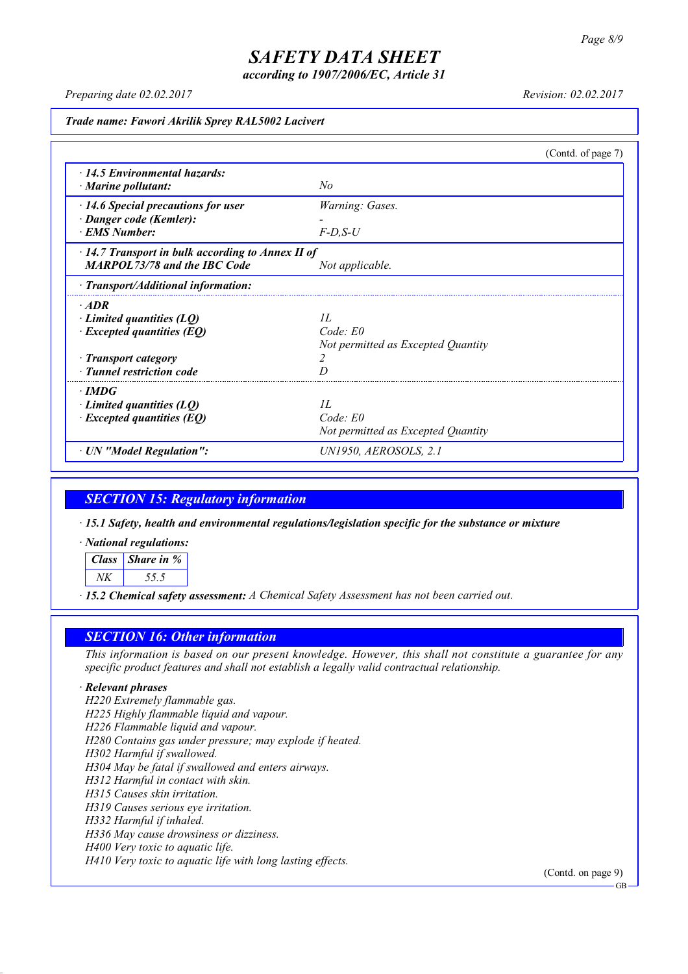*according to 1907/2006/EC, Article 31*

*Preparing date 02.02.2017 Revision: 02.02.2017*

*Trade name: Fawori Akrilik Sprey RAL5002 Lacivert*

|                                                         |                                    | (Contd. of page 7) |
|---------------------------------------------------------|------------------------------------|--------------------|
| $\cdot$ 14.5 Environmental hazards:                     |                                    |                    |
| $\cdot$ Marine pollutant:                               | No                                 |                    |
| $\cdot$ 14.6 Special precautions for user               | Warning: Gases.                    |                    |
| · Danger code (Kemler):                                 |                                    |                    |
| <b>EMS Number:</b>                                      | $F-D$ , $S-U$                      |                    |
| $\cdot$ 14.7 Transport in bulk according to Annex II of |                                    |                    |
| <b>MARPOL73/78 and the IBC Code</b>                     | Not applicable.                    |                    |
| · Transport/Additional information:                     |                                    |                    |
| $\cdot$ ADR                                             |                                    |                    |
| $\cdot$ Limited quantities (LQ)                         | II.                                |                    |
| $\cdot$ Excepted quantities (EQ)                        | $Code$ $E0$                        |                    |
|                                                         | Not permitted as Excepted Quantity |                    |
| · Transport category                                    | 2                                  |                    |
| · Tunnel restriction code                               | D                                  |                    |
| $\cdot$ IMDG                                            |                                    |                    |
| $\cdot$ Limited quantities (LQ)                         | II.                                |                    |
| $\cdot$ Excepted quantities (EQ)                        | Code: E0                           |                    |
|                                                         | Not permitted as Excepted Quantity |                    |
| · UN "Model Regulation":                                | UN1950, AEROSOLS, 2.1              |                    |

### *SECTION 15: Regulatory information*

*· 15.1 Safety, health and environmental regulations/legislation specific for the substance or mixture*

*· National regulations:*

*Class Share in % NK 55.5*

*· 15.2 Chemical safety assessment: A Chemical Safety Assessment has not been carried out.*

### *SECTION 16: Other information*

This information is based on our present knowledge. However, this shall not constitute a guarantee for any *specific product features and shall not establish a legally valid contractual relationship.*

#### *· Relevant phrases*

*H220 Extremely flammable gas. H225 Highly flammable liquid and vapour. H226 Flammable liquid and vapour. H280 Contains gas under pressure; may explode if heated. H302 Harmful if swallowed. H304 May be fatal if swallowed and enters airways. H312 Harmful in contact with skin. H315 Causes skin irritation. H319 Causes serious eye irritation. H332 Harmful if inhaled. H336 May cause drowsiness or dizziness. H400 Very toxic to aquatic life. H410 Very toxic to aquatic life with long lasting effects.*

(Contd. on page 9)